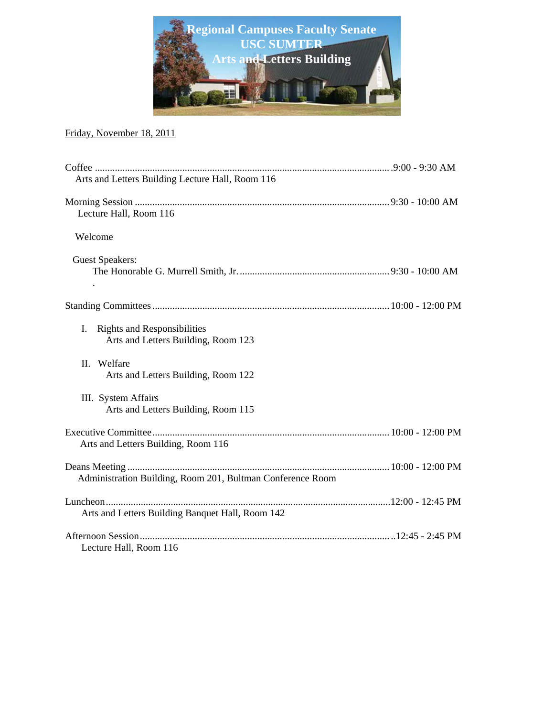

#### Friday, November 18, 2011

| Arts and Letters Building Lecture Hall, Room 116                                |  |
|---------------------------------------------------------------------------------|--|
| Lecture Hall, Room 116                                                          |  |
| Welcome                                                                         |  |
| <b>Guest Speakers:</b>                                                          |  |
|                                                                                 |  |
| <b>Rights and Responsibilities</b><br>L.<br>Arts and Letters Building, Room 123 |  |
| II. Welfare<br>Arts and Letters Building, Room 122                              |  |
| III. System Affairs<br>Arts and Letters Building, Room 115                      |  |
| Arts and Letters Building, Room 116                                             |  |
| Administration Building, Room 201, Bultman Conference Room                      |  |
| Arts and Letters Building Banquet Hall, Room 142                                |  |
| Lecture Hall, Room 116                                                          |  |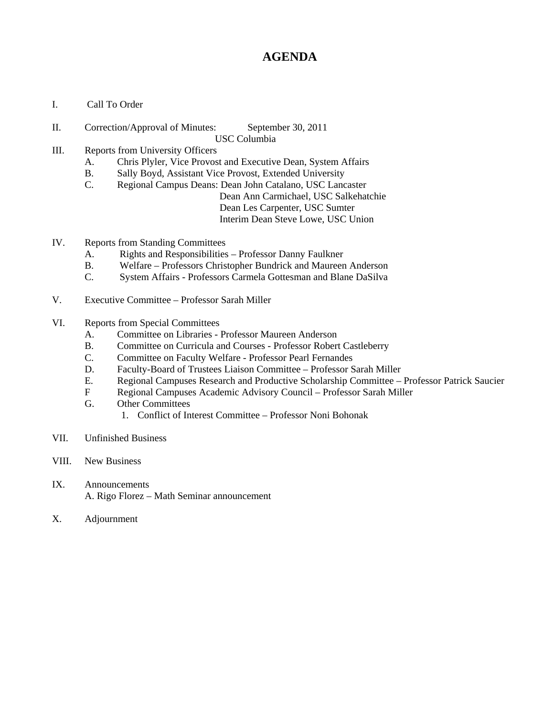# **AGENDA**

- I. Call To Order
- II. Correction/Approval of Minutes: September 30, 2011 USC Columbia
- III. Reports from University Officers
	- A. Chris Plyler, Vice Provost and Executive Dean, System Affairs
	- B. Sally Boyd, Assistant Vice Provost, Extended University
	- C. Regional Campus Deans: Dean John Catalano, USC Lancaster Dean Ann Carmichael, USC Salkehatchie Dean Les Carpenter, USC Sumter Interim Dean Steve Lowe, USC Union
- IV. Reports from Standing Committees
	- A. Rights and Responsibilities Professor Danny Faulkner
	- B. Welfare Professors Christopher Bundrick and Maureen Anderson
	- C. System Affairs Professors Carmela Gottesman and Blane DaSilva
- V. Executive Committee Professor Sarah Miller
- VI. Reports from Special Committees
	- A. Committee on Libraries Professor Maureen Anderson
	- B. Committee on Curricula and Courses Professor Robert Castleberry
	- C. Committee on Faculty Welfare Professor Pearl Fernandes
	- D. Faculty-Board of Trustees Liaison Committee Professor Sarah Miller
	- E. Regional Campuses Research and Productive Scholarship Committee Professor Patrick Saucier
	- F Regional Campuses Academic Advisory Council Professor Sarah Miller
	- Other Committees
		- 1. Conflict of Interest Committee Professor Noni Bohonak
- VII. Unfinished Business
- VIII. New Business
- IX. Announcements A. Rigo Florez – Math Seminar announcement
- X. Adjournment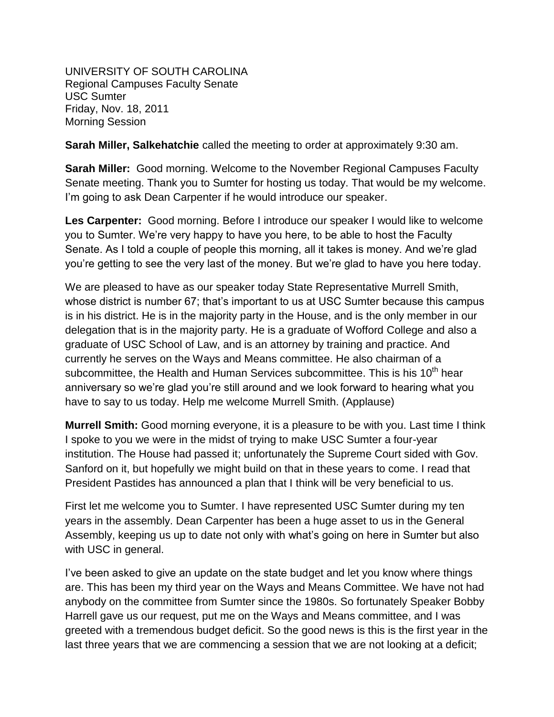UNIVERSITY OF SOUTH CAROLINA Regional Campuses Faculty Senate USC Sumter Friday, Nov. 18, 2011 Morning Session

**Sarah Miller, Salkehatchie** called the meeting to order at approximately 9:30 am.

**Sarah Miller:** Good morning. Welcome to the November Regional Campuses Faculty Senate meeting. Thank you to Sumter for hosting us today. That would be my welcome. I'm going to ask Dean Carpenter if he would introduce our speaker.

**Les Carpenter:** Good morning. Before I introduce our speaker I would like to welcome you to Sumter. We're very happy to have you here, to be able to host the Faculty Senate. As I told a couple of people this morning, all it takes is money. And we're glad you're getting to see the very last of the money. But we're glad to have you here today.

We are pleased to have as our speaker today State Representative Murrell Smith, whose district is number 67; that's important to us at USC Sumter because this campus is in his district. He is in the majority party in the House, and is the only member in our delegation that is in the majority party. He is a graduate of Wofford College and also a graduate of USC School of Law, and is an attorney by training and practice. And currently he serves on the Ways and Means committee. He also chairman of a subcommittee, the Health and Human Services subcommittee. This is his 10<sup>th</sup> hear anniversary so we're glad you're still around and we look forward to hearing what you have to say to us today. Help me welcome Murrell Smith. (Applause)

**Murrell Smith:** Good morning everyone, it is a pleasure to be with you. Last time I think I spoke to you we were in the midst of trying to make USC Sumter a four-year institution. The House had passed it; unfortunately the Supreme Court sided with Gov. Sanford on it, but hopefully we might build on that in these years to come. I read that President Pastides has announced a plan that I think will be very beneficial to us.

First let me welcome you to Sumter. I have represented USC Sumter during my ten years in the assembly. Dean Carpenter has been a huge asset to us in the General Assembly, keeping us up to date not only with what's going on here in Sumter but also with USC in general.

I've been asked to give an update on the state budget and let you know where things are. This has been my third year on the Ways and Means Committee. We have not had anybody on the committee from Sumter since the 1980s. So fortunately Speaker Bobby Harrell gave us our request, put me on the Ways and Means committee, and I was greeted with a tremendous budget deficit. So the good news is this is the first year in the last three years that we are commencing a session that we are not looking at a deficit;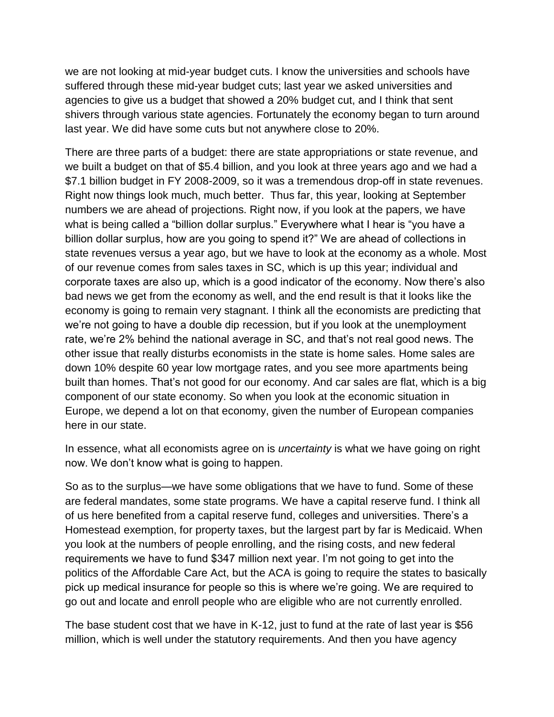we are not looking at mid-year budget cuts. I know the universities and schools have suffered through these mid-year budget cuts; last year we asked universities and agencies to give us a budget that showed a 20% budget cut, and I think that sent shivers through various state agencies. Fortunately the economy began to turn around last year. We did have some cuts but not anywhere close to 20%.

There are three parts of a budget: there are state appropriations or state revenue, and we built a budget on that of \$5.4 billion, and you look at three years ago and we had a \$7.1 billion budget in FY 2008-2009, so it was a tremendous drop-off in state revenues. Right now things look much, much better. Thus far, this year, looking at September numbers we are ahead of projections. Right now, if you look at the papers, we have what is being called a "billion dollar surplus." Everywhere what I hear is "you have a billion dollar surplus, how are you going to spend it?" We are ahead of collections in state revenues versus a year ago, but we have to look at the economy as a whole. Most of our revenue comes from sales taxes in SC, which is up this year; individual and corporate taxes are also up, which is a good indicator of the economy. Now there's also bad news we get from the economy as well, and the end result is that it looks like the economy is going to remain very stagnant. I think all the economists are predicting that we're not going to have a double dip recession, but if you look at the unemployment rate, we're 2% behind the national average in SC, and that's not real good news. The other issue that really disturbs economists in the state is home sales. Home sales are down 10% despite 60 year low mortgage rates, and you see more apartments being built than homes. That's not good for our economy. And car sales are flat, which is a big component of our state economy. So when you look at the economic situation in Europe, we depend a lot on that economy, given the number of European companies here in our state.

In essence, what all economists agree on is *uncertainty* is what we have going on right now. We don't know what is going to happen.

So as to the surplus—we have some obligations that we have to fund. Some of these are federal mandates, some state programs. We have a capital reserve fund. I think all of us here benefited from a capital reserve fund, colleges and universities. There's a Homestead exemption, for property taxes, but the largest part by far is Medicaid. When you look at the numbers of people enrolling, and the rising costs, and new federal requirements we have to fund \$347 million next year. I'm not going to get into the politics of the Affordable Care Act, but the ACA is going to require the states to basically pick up medical insurance for people so this is where we're going. We are required to go out and locate and enroll people who are eligible who are not currently enrolled.

The base student cost that we have in K-12, just to fund at the rate of last year is \$56 million, which is well under the statutory requirements. And then you have agency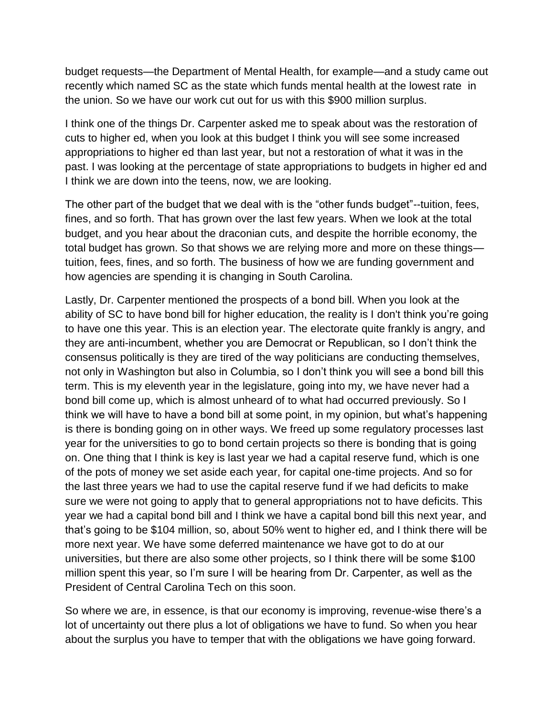budget requests—the Department of Mental Health, for example—and a study came out recently which named SC as the state which funds mental health at the lowest rate in the union. So we have our work cut out for us with this \$900 million surplus.

I think one of the things Dr. Carpenter asked me to speak about was the restoration of cuts to higher ed, when you look at this budget I think you will see some increased appropriations to higher ed than last year, but not a restoration of what it was in the past. I was looking at the percentage of state appropriations to budgets in higher ed and I think we are down into the teens, now, we are looking.

The other part of the budget that we deal with is the "other funds budget"--tuition, fees, fines, and so forth. That has grown over the last few years. When we look at the total budget, and you hear about the draconian cuts, and despite the horrible economy, the total budget has grown. So that shows we are relying more and more on these things tuition, fees, fines, and so forth. The business of how we are funding government and how agencies are spending it is changing in South Carolina.

Lastly, Dr. Carpenter mentioned the prospects of a bond bill. When you look at the ability of SC to have bond bill for higher education, the reality is I don't think you're going to have one this year. This is an election year. The electorate quite frankly is angry, and they are anti-incumbent, whether you are Democrat or Republican, so I don't think the consensus politically is they are tired of the way politicians are conducting themselves, not only in Washington but also in Columbia, so I don't think you will see a bond bill this term. This is my eleventh year in the legislature, going into my, we have never had a bond bill come up, which is almost unheard of to what had occurred previously. So I think we will have to have a bond bill at some point, in my opinion, but what's happening is there is bonding going on in other ways. We freed up some regulatory processes last year for the universities to go to bond certain projects so there is bonding that is going on. One thing that I think is key is last year we had a capital reserve fund, which is one of the pots of money we set aside each year, for capital one-time projects. And so for the last three years we had to use the capital reserve fund if we had deficits to make sure we were not going to apply that to general appropriations not to have deficits. This year we had a capital bond bill and I think we have a capital bond bill this next year, and that's going to be \$104 million, so, about 50% went to higher ed, and I think there will be more next year. We have some deferred maintenance we have got to do at our universities, but there are also some other projects, so I think there will be some \$100 million spent this year, so I'm sure I will be hearing from Dr. Carpenter, as well as the President of Central Carolina Tech on this soon.

So where we are, in essence, is that our economy is improving, revenue-wise there's a lot of uncertainty out there plus a lot of obligations we have to fund. So when you hear about the surplus you have to temper that with the obligations we have going forward.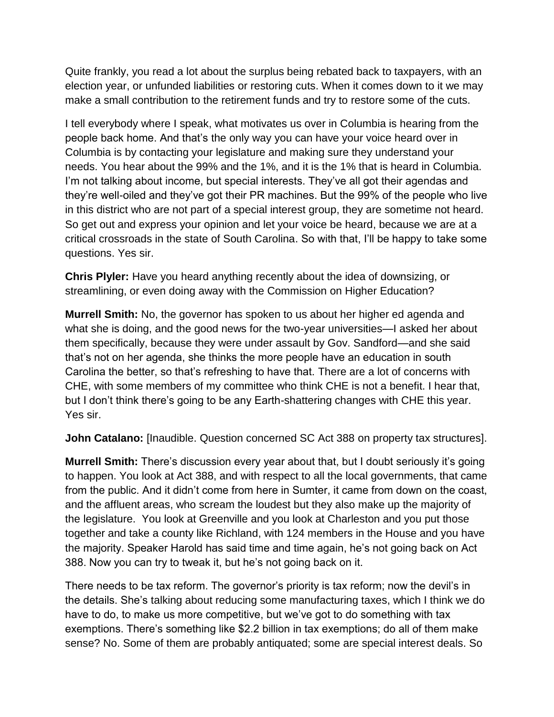Quite frankly, you read a lot about the surplus being rebated back to taxpayers, with an election year, or unfunded liabilities or restoring cuts. When it comes down to it we may make a small contribution to the retirement funds and try to restore some of the cuts.

I tell everybody where I speak, what motivates us over in Columbia is hearing from the people back home. And that's the only way you can have your voice heard over in Columbia is by contacting your legislature and making sure they understand your needs. You hear about the 99% and the 1%, and it is the 1% that is heard in Columbia. I'm not talking about income, but special interests. They've all got their agendas and they're well-oiled and they've got their PR machines. But the 99% of the people who live in this district who are not part of a special interest group, they are sometime not heard. So get out and express your opinion and let your voice be heard, because we are at a critical crossroads in the state of South Carolina. So with that, I'll be happy to take some questions. Yes sir.

**Chris Plyler:** Have you heard anything recently about the idea of downsizing, or streamlining, or even doing away with the Commission on Higher Education?

**Murrell Smith:** No, the governor has spoken to us about her higher ed agenda and what she is doing, and the good news for the two-year universities—I asked her about them specifically, because they were under assault by Gov. Sandford—and she said that's not on her agenda, she thinks the more people have an education in south Carolina the better, so that's refreshing to have that. There are a lot of concerns with CHE, with some members of my committee who think CHE is not a benefit. I hear that, but I don't think there's going to be any Earth-shattering changes with CHE this year. Yes sir.

**John Catalano:** [Inaudible. Question concerned SC Act 388 on property tax structures].

**Murrell Smith:** There's discussion every year about that, but I doubt seriously it's going to happen. You look at Act 388, and with respect to all the local governments, that came from the public. And it didn't come from here in Sumter, it came from down on the coast, and the affluent areas, who scream the loudest but they also make up the majority of the legislature. You look at Greenville and you look at Charleston and you put those together and take a county like Richland, with 124 members in the House and you have the majority. Speaker Harold has said time and time again, he's not going back on Act 388. Now you can try to tweak it, but he's not going back on it.

There needs to be tax reform. The governor's priority is tax reform; now the devil's in the details. She's talking about reducing some manufacturing taxes, which I think we do have to do, to make us more competitive, but we've got to do something with tax exemptions. There's something like \$2.2 billion in tax exemptions; do all of them make sense? No. Some of them are probably antiquated; some are special interest deals. So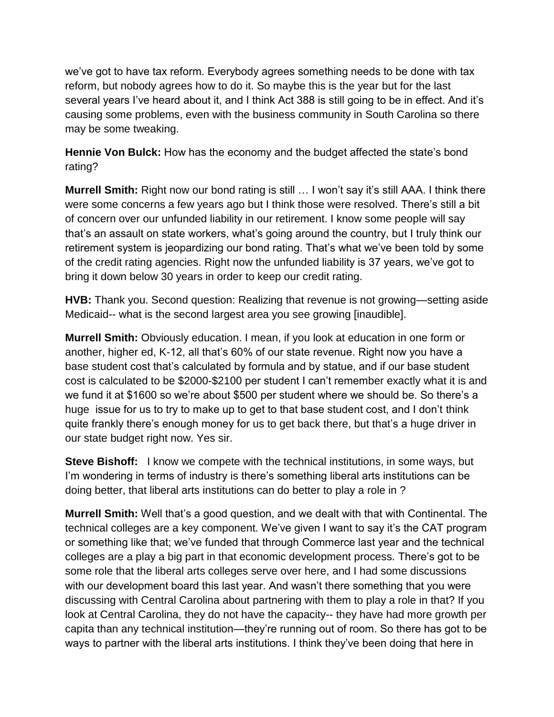we've got to have tax reform. Everybody agrees something needs to be done with tax reform, but nobody agrees how to do it. So maybe this is the year but for the last several years I've heard about it, and I think Act 388 is still going to be in effect. And it's causing some problems, even with the business community in South Carolina so there may be some tweaking.

**Hennie Von Bulck:** How has the economy and the budget affected the state's bond rating?

**Murrell Smith:** Right now our bond rating is still … I won't say it's still AAA. I think there were some concerns a few years ago but I think those were resolved. There's still a bit of concern over our unfunded liability in our retirement. I know some people will say that's an assault on state workers, what's going around the country, but I truly think our retirement system is jeopardizing our bond rating. That's what we've been told by some of the credit rating agencies. Right now the unfunded liability is 37 years, we've got to bring it down below 30 years in order to keep our credit rating.

**HVB:** Thank you. Second question: Realizing that revenue is not growing—setting aside Medicaid-- what is the second largest area you see growing [inaudible].

**Murrell Smith:** Obviously education. I mean, if you look at education in one form or another, higher ed, K-12, all that's 60% of our state revenue. Right now you have a base student cost that's calculated by formula and by statue, and if our base student cost is calculated to be \$2000-\$2100 per student I can't remember exactly what it is and we fund it at \$1600 so we're about \$500 per student where we should be. So there's a huge issue for us to try to make up to get to that base student cost, and I don't think quite frankly there's enough money for us to get back there, but that's a huge driver in our state budget right now. Yes sir.

**Steve Bishoff:** I know we compete with the technical institutions, in some ways, but I'm wondering in terms of industry is there's something liberal arts institutions can be doing better, that liberal arts institutions can do better to play a role in ?

**Murrell Smith:** Well that's a good question, and we dealt with that with Continental. The technical colleges are a key component. We've given I want to say it's the CAT program or something like that; we've funded that through Commerce last year and the technical colleges are a play a big part in that economic development process. There's got to be some role that the liberal arts colleges serve over here, and I had some discussions with our development board this last year. And wasn't there something that you were discussing with Central Carolina about partnering with them to play a role in that? If you look at Central Carolina, they do not have the capacity-- they have had more growth per capita than any technical institution—they're running out of room. So there has got to be ways to partner with the liberal arts institutions. I think they've been doing that here in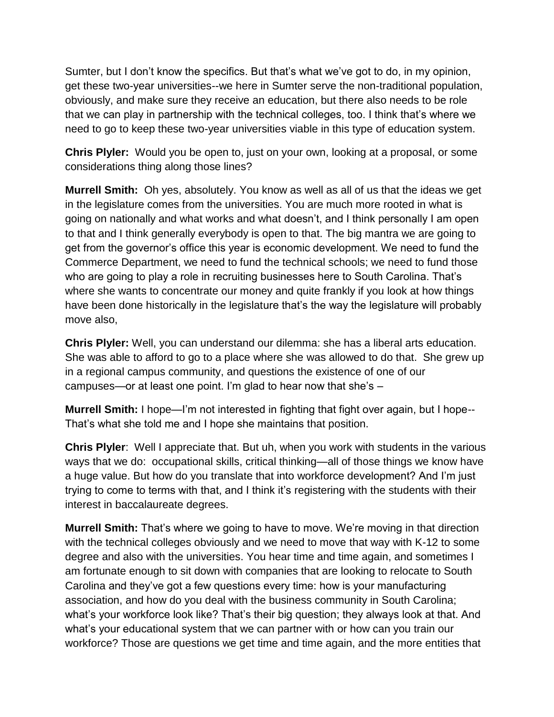Sumter, but I don't know the specifics. But that's what we've got to do, in my opinion, get these two-year universities--we here in Sumter serve the non-traditional population, obviously, and make sure they receive an education, but there also needs to be role that we can play in partnership with the technical colleges, too. I think that's where we need to go to keep these two-year universities viable in this type of education system.

**Chris Plyler:** Would you be open to, just on your own, looking at a proposal, or some considerations thing along those lines?

**Murrell Smith:** Oh yes, absolutely. You know as well as all of us that the ideas we get in the legislature comes from the universities. You are much more rooted in what is going on nationally and what works and what doesn't, and I think personally I am open to that and I think generally everybody is open to that. The big mantra we are going to get from the governor's office this year is economic development. We need to fund the Commerce Department, we need to fund the technical schools; we need to fund those who are going to play a role in recruiting businesses here to South Carolina. That's where she wants to concentrate our money and quite frankly if you look at how things have been done historically in the legislature that's the way the legislature will probably move also,

**Chris Plyler:** Well, you can understand our dilemma: she has a liberal arts education. She was able to afford to go to a place where she was allowed to do that. She grew up in a regional campus community, and questions the existence of one of our campuses—or at least one point. I'm glad to hear now that she's –

**Murrell Smith:** I hope—I'm not interested in fighting that fight over again, but I hope-- That's what she told me and I hope she maintains that position.

**Chris Plyler**: Well I appreciate that. But uh, when you work with students in the various ways that we do: occupational skills, critical thinking—all of those things we know have a huge value. But how do you translate that into workforce development? And I'm just trying to come to terms with that, and I think it's registering with the students with their interest in baccalaureate degrees.

**Murrell Smith:** That's where we going to have to move. We're moving in that direction with the technical colleges obviously and we need to move that way with K-12 to some degree and also with the universities. You hear time and time again, and sometimes I am fortunate enough to sit down with companies that are looking to relocate to South Carolina and they've got a few questions every time: how is your manufacturing association, and how do you deal with the business community in South Carolina; what's your workforce look like? That's their big question; they always look at that. And what's your educational system that we can partner with or how can you train our workforce? Those are questions we get time and time again, and the more entities that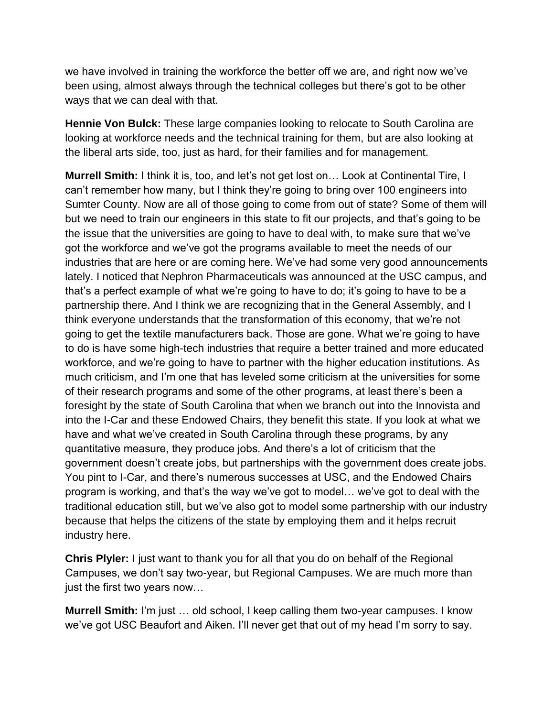we have involved in training the workforce the better off we are, and right now we've been using, almost always through the technical colleges but there's got to be other ways that we can deal with that.

**Hennie Von Bulck:** These large companies looking to relocate to South Carolina are looking at workforce needs and the technical training for them, but are also looking at the liberal arts side, too, just as hard, for their families and for management.

**Murrell Smith:** I think it is, too, and let's not get lost on… Look at Continental Tire, I can't remember how many, but I think they're going to bring over 100 engineers into Sumter County. Now are all of those going to come from out of state? Some of them will but we need to train our engineers in this state to fit our projects, and that's going to be the issue that the universities are going to have to deal with, to make sure that we've got the workforce and we've got the programs available to meet the needs of our industries that are here or are coming here. We've had some very good announcements lately. I noticed that Nephron Pharmaceuticals was announced at the USC campus, and that's a perfect example of what we're going to have to do; it's going to have to be a partnership there. And I think we are recognizing that in the General Assembly, and I think everyone understands that the transformation of this economy, that we're not going to get the textile manufacturers back. Those are gone. What we're going to have to do is have some high-tech industries that require a better trained and more educated workforce, and we're going to have to partner with the higher education institutions. As much criticism, and I'm one that has leveled some criticism at the universities for some of their research programs and some of the other programs, at least there's been a foresight by the state of South Carolina that when we branch out into the Innovista and into the I-Car and these Endowed Chairs, they benefit this state. If you look at what we have and what we've created in South Carolina through these programs, by any quantitative measure, they produce jobs. And there's a lot of criticism that the government doesn't create jobs, but partnerships with the government does create jobs. You pint to I-Car, and there's numerous successes at USC, and the Endowed Chairs program is working, and that's the way we've got to model… we've got to deal with the traditional education still, but we've also got to model some partnership with our industry because that helps the citizens of the state by employing them and it helps recruit industry here.

**Chris Plyler:** I just want to thank you for all that you do on behalf of the Regional Campuses, we don't say two-year, but Regional Campuses. We are much more than just the first two years now…

**Murrell Smith:** I'm just … old school, I keep calling them two-year campuses. I know we've got USC Beaufort and Aiken. I'll never get that out of my head I'm sorry to say.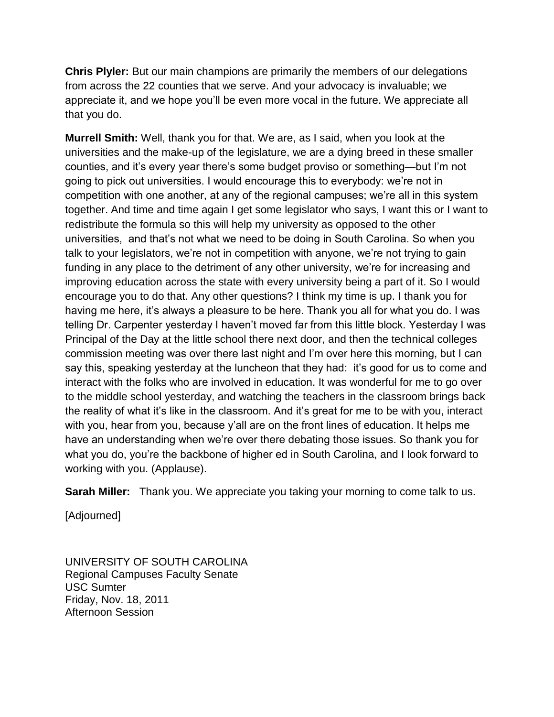**Chris Plyler:** But our main champions are primarily the members of our delegations from across the 22 counties that we serve. And your advocacy is invaluable; we appreciate it, and we hope you'll be even more vocal in the future. We appreciate all that you do.

**Murrell Smith:** Well, thank you for that. We are, as I said, when you look at the universities and the make-up of the legislature, we are a dying breed in these smaller counties, and it's every year there's some budget proviso or something—but I'm not going to pick out universities. I would encourage this to everybody: we're not in competition with one another, at any of the regional campuses; we're all in this system together. And time and time again I get some legislator who says, I want this or I want to redistribute the formula so this will help my university as opposed to the other universities, and that's not what we need to be doing in South Carolina. So when you talk to your legislators, we're not in competition with anyone, we're not trying to gain funding in any place to the detriment of any other university, we're for increasing and improving education across the state with every university being a part of it. So I would encourage you to do that. Any other questions? I think my time is up. I thank you for having me here, it's always a pleasure to be here. Thank you all for what you do. I was telling Dr. Carpenter yesterday I haven't moved far from this little block. Yesterday I was Principal of the Day at the little school there next door, and then the technical colleges commission meeting was over there last night and I'm over here this morning, but I can say this, speaking yesterday at the luncheon that they had: it's good for us to come and interact with the folks who are involved in education. It was wonderful for me to go over to the middle school yesterday, and watching the teachers in the classroom brings back the reality of what it's like in the classroom. And it's great for me to be with you, interact with you, hear from you, because y'all are on the front lines of education. It helps me have an understanding when we're over there debating those issues. So thank you for what you do, you're the backbone of higher ed in South Carolina, and I look forward to working with you. (Applause).

**Sarah Miller:** Thank you. We appreciate you taking your morning to come talk to us.

[Adjourned]

UNIVERSITY OF SOUTH CAROLINA Regional Campuses Faculty Senate USC Sumter Friday, Nov. 18, 2011 Afternoon Session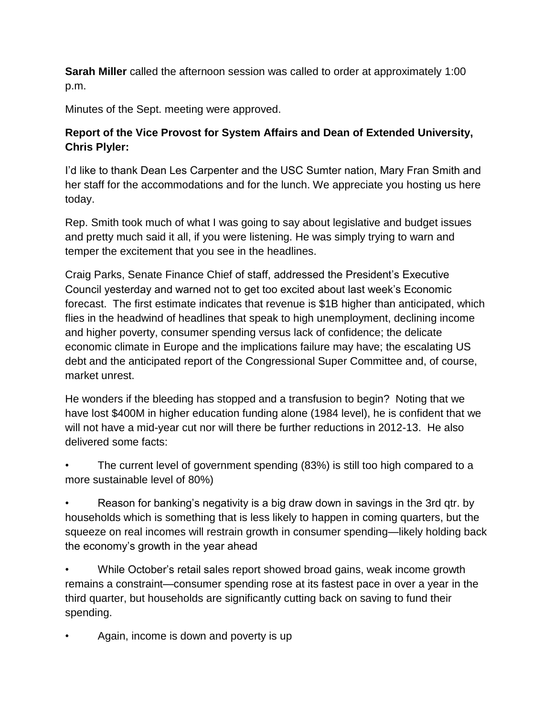**Sarah Miller** called the afternoon session was called to order at approximately 1:00 p.m.

Minutes of the Sept. meeting were approved.

## **Report of the Vice Provost for System Affairs and Dean of Extended University, Chris Plyler:**

I'd like to thank Dean Les Carpenter and the USC Sumter nation, Mary Fran Smith and her staff for the accommodations and for the lunch. We appreciate you hosting us here today.

Rep. Smith took much of what I was going to say about legislative and budget issues and pretty much said it all, if you were listening. He was simply trying to warn and temper the excitement that you see in the headlines.

Craig Parks, Senate Finance Chief of staff, addressed the President's Executive Council yesterday and warned not to get too excited about last week's Economic forecast. The first estimate indicates that revenue is \$1B higher than anticipated, which flies in the headwind of headlines that speak to high unemployment, declining income and higher poverty, consumer spending versus lack of confidence; the delicate economic climate in Europe and the implications failure may have; the escalating US debt and the anticipated report of the Congressional Super Committee and, of course, market unrest.

He wonders if the bleeding has stopped and a transfusion to begin? Noting that we have lost \$400M in higher education funding alone (1984 level), he is confident that we will not have a mid-year cut nor will there be further reductions in 2012-13. He also delivered some facts:

• The current level of government spending (83%) is still too high compared to a more sustainable level of 80%)

• Reason for banking's negativity is a big draw down in savings in the 3rd qtr. by households which is something that is less likely to happen in coming quarters, but the squeeze on real incomes will restrain growth in consumer spending—likely holding back the economy's growth in the year ahead

• While October's retail sales report showed broad gains, weak income growth remains a constraint—consumer spending rose at its fastest pace in over a year in the third quarter, but households are significantly cutting back on saving to fund their spending.

• Again, income is down and poverty is up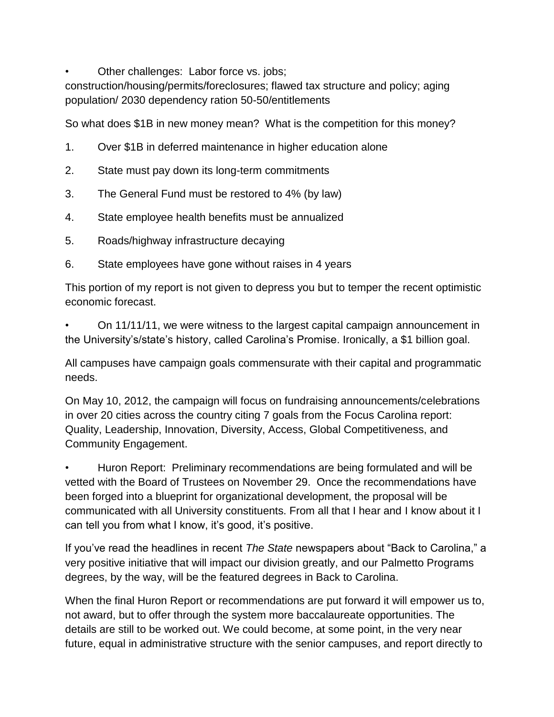• Other challenges: Labor force vs. jobs;

construction/housing/permits/foreclosures; flawed tax structure and policy; aging population/ 2030 dependency ration 50-50/entitlements

So what does \$1B in new money mean? What is the competition for this money?

- 1. Over \$1B in deferred maintenance in higher education alone
- 2. State must pay down its long-term commitments
- 3. The General Fund must be restored to 4% (by law)
- 4. State employee health benefits must be annualized
- 5. Roads/highway infrastructure decaying
- 6. State employees have gone without raises in 4 years

This portion of my report is not given to depress you but to temper the recent optimistic economic forecast.

• On 11/11/11, we were witness to the largest capital campaign announcement in the University's/state's history, called Carolina's Promise. Ironically, a \$1 billion goal.

All campuses have campaign goals commensurate with their capital and programmatic needs.

On May 10, 2012, the campaign will focus on fundraising announcements/celebrations in over 20 cities across the country citing 7 goals from the Focus Carolina report: Quality, Leadership, Innovation, Diversity, Access, Global Competitiveness, and Community Engagement.

• Huron Report: Preliminary recommendations are being formulated and will be vetted with the Board of Trustees on November 29. Once the recommendations have been forged into a blueprint for organizational development, the proposal will be communicated with all University constituents. From all that I hear and I know about it I can tell you from what I know, it's good, it's positive.

If you've read the headlines in recent *The State* newspapers about "Back to Carolina," a very positive initiative that will impact our division greatly, and our Palmetto Programs degrees, by the way, will be the featured degrees in Back to Carolina.

When the final Huron Report or recommendations are put forward it will empower us to, not award, but to offer through the system more baccalaureate opportunities. The details are still to be worked out. We could become, at some point, in the very near future, equal in administrative structure with the senior campuses, and report directly to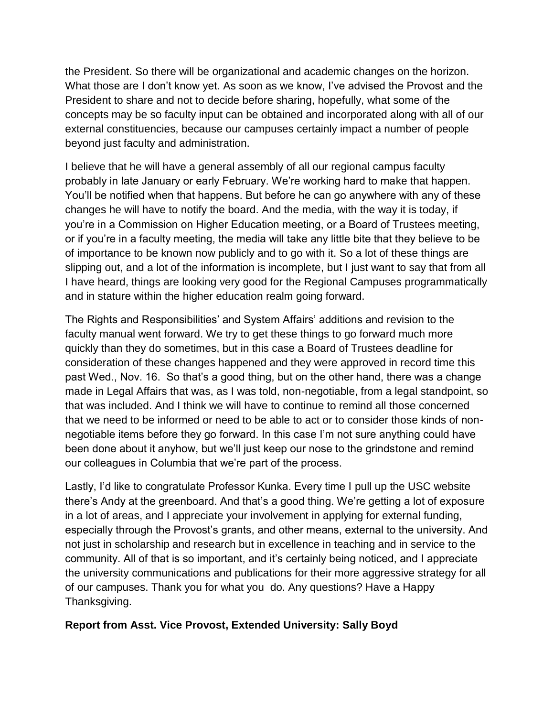the President. So there will be organizational and academic changes on the horizon. What those are I don't know yet. As soon as we know, I've advised the Provost and the President to share and not to decide before sharing, hopefully, what some of the concepts may be so faculty input can be obtained and incorporated along with all of our external constituencies, because our campuses certainly impact a number of people beyond just faculty and administration.

I believe that he will have a general assembly of all our regional campus faculty probably in late January or early February. We're working hard to make that happen. You'll be notified when that happens. But before he can go anywhere with any of these changes he will have to notify the board. And the media, with the way it is today, if you're in a Commission on Higher Education meeting, or a Board of Trustees meeting, or if you're in a faculty meeting, the media will take any little bite that they believe to be of importance to be known now publicly and to go with it. So a lot of these things are slipping out, and a lot of the information is incomplete, but I just want to say that from all I have heard, things are looking very good for the Regional Campuses programmatically and in stature within the higher education realm going forward.

The Rights and Responsibilities' and System Affairs' additions and revision to the faculty manual went forward. We try to get these things to go forward much more quickly than they do sometimes, but in this case a Board of Trustees deadline for consideration of these changes happened and they were approved in record time this past Wed., Nov. 16. So that's a good thing, but on the other hand, there was a change made in Legal Affairs that was, as I was told, non-negotiable, from a legal standpoint, so that was included. And I think we will have to continue to remind all those concerned that we need to be informed or need to be able to act or to consider those kinds of nonnegotiable items before they go forward. In this case I'm not sure anything could have been done about it anyhow, but we'll just keep our nose to the grindstone and remind our colleagues in Columbia that we're part of the process.

Lastly, I'd like to congratulate Professor Kunka. Every time I pull up the USC website there's Andy at the greenboard. And that's a good thing. We're getting a lot of exposure in a lot of areas, and I appreciate your involvement in applying for external funding, especially through the Provost's grants, and other means, external to the university. And not just in scholarship and research but in excellence in teaching and in service to the community. All of that is so important, and it's certainly being noticed, and I appreciate the university communications and publications for their more aggressive strategy for all of our campuses. Thank you for what you do. Any questions? Have a Happy Thanksgiving.

### **Report from Asst. Vice Provost, Extended University: Sally Boyd**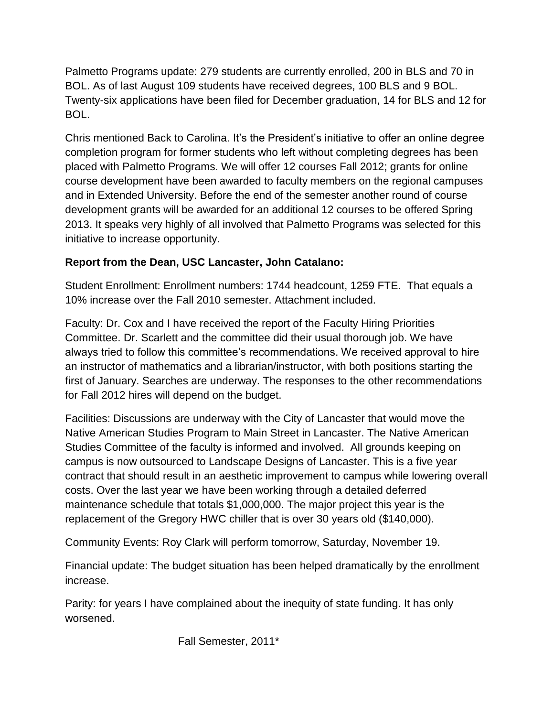Palmetto Programs update: 279 students are currently enrolled, 200 in BLS and 70 in BOL. As of last August 109 students have received degrees, 100 BLS and 9 BOL. Twenty-six applications have been filed for December graduation, 14 for BLS and 12 for BOL.

Chris mentioned Back to Carolina. It's the President's initiative to offer an online degree completion program for former students who left without completing degrees has been placed with Palmetto Programs. We will offer 12 courses Fall 2012; grants for online course development have been awarded to faculty members on the regional campuses and in Extended University. Before the end of the semester another round of course development grants will be awarded for an additional 12 courses to be offered Spring 2013. It speaks very highly of all involved that Palmetto Programs was selected for this initiative to increase opportunity.

## **Report from the Dean, USC Lancaster, John Catalano:**

Student Enrollment: Enrollment numbers: 1744 headcount, 1259 FTE. That equals a 10% increase over the Fall 2010 semester. Attachment included.

Faculty: Dr. Cox and I have received the report of the Faculty Hiring Priorities Committee. Dr. Scarlett and the committee did their usual thorough job. We have always tried to follow this committee's recommendations. We received approval to hire an instructor of mathematics and a librarian/instructor, with both positions starting the first of January. Searches are underway. The responses to the other recommendations for Fall 2012 hires will depend on the budget.

Facilities: Discussions are underway with the City of Lancaster that would move the Native American Studies Program to Main Street in Lancaster. The Native American Studies Committee of the faculty is informed and involved. All grounds keeping on campus is now outsourced to Landscape Designs of Lancaster. This is a five year contract that should result in an aesthetic improvement to campus while lowering overall costs. Over the last year we have been working through a detailed deferred maintenance schedule that totals \$1,000,000. The major project this year is the replacement of the Gregory HWC chiller that is over 30 years old (\$140,000).

Community Events: Roy Clark will perform tomorrow, Saturday, November 19.

Financial update: The budget situation has been helped dramatically by the enrollment increase.

Parity: for years I have complained about the inequity of state funding. It has only worsened.

Fall Semester, 2011\*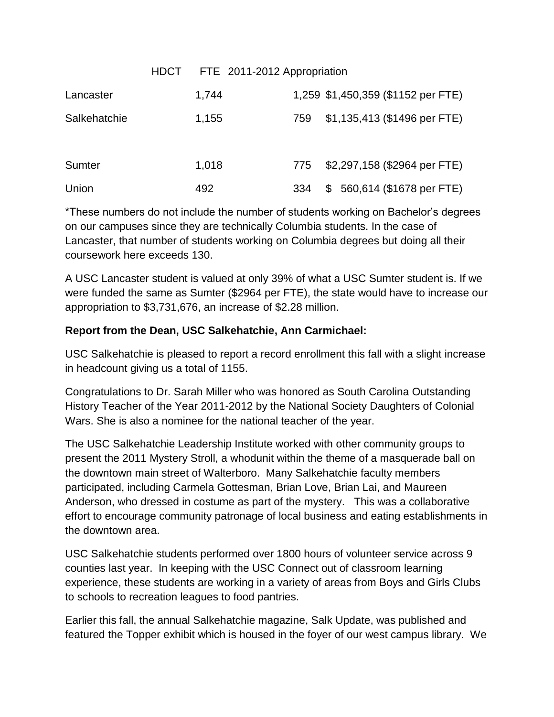|              | HDCT FTE 2011-2012 Appropriation |     |                                    |
|--------------|----------------------------------|-----|------------------------------------|
| Lancaster    | 1,744                            |     | 1,259 \$1,450,359 (\$1152 per FTE) |
| Salkehatchie | 1,155                            | 759 | \$1,135,413 (\$1496 per FTE)       |
|              |                                  |     |                                    |
| Sumter       | 1,018                            | 775 | \$2,297,158 (\$2964 per FTE)       |
| Union        | 492                              | 334 | \$560,614 (\$1678 per FTE)         |

\*These numbers do not include the number of students working on Bachelor's degrees on our campuses since they are technically Columbia students. In the case of Lancaster, that number of students working on Columbia degrees but doing all their coursework here exceeds 130.

A USC Lancaster student is valued at only 39% of what a USC Sumter student is. If we were funded the same as Sumter (\$2964 per FTE), the state would have to increase our appropriation to \$3,731,676, an increase of \$2.28 million.

## **Report from the Dean, USC Salkehatchie, Ann Carmichael:**

USC Salkehatchie is pleased to report a record enrollment this fall with a slight increase in headcount giving us a total of 1155.

Congratulations to Dr. Sarah Miller who was honored as South Carolina Outstanding History Teacher of the Year 2011-2012 by the National Society Daughters of Colonial Wars. She is also a nominee for the national teacher of the year.

The USC Salkehatchie Leadership Institute worked with other community groups to present the 2011 Mystery Stroll, a whodunit within the theme of a masquerade ball on the downtown main street of Walterboro. Many Salkehatchie faculty members participated, including Carmela Gottesman, Brian Love, Brian Lai, and Maureen Anderson, who dressed in costume as part of the mystery. This was a collaborative effort to encourage community patronage of local business and eating establishments in the downtown area.

USC Salkehatchie students performed over 1800 hours of volunteer service across 9 counties last year. In keeping with the USC Connect out of classroom learning experience, these students are working in a variety of areas from Boys and Girls Clubs to schools to recreation leagues to food pantries.

Earlier this fall, the annual Salkehatchie magazine, Salk Update, was published and featured the Topper exhibit which is housed in the foyer of our west campus library. We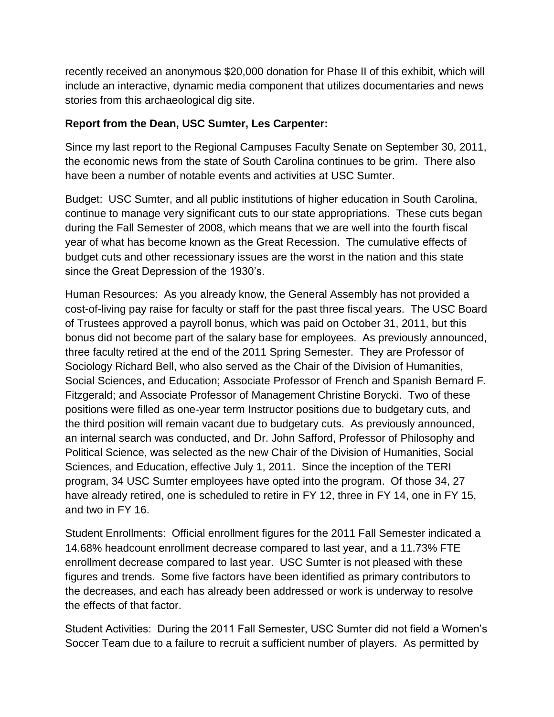recently received an anonymous \$20,000 donation for Phase II of this exhibit, which will include an interactive, dynamic media component that utilizes documentaries and news stories from this archaeological dig site.

### **Report from the Dean, USC Sumter, Les Carpenter:**

Since my last report to the Regional Campuses Faculty Senate on September 30, 2011, the economic news from the state of South Carolina continues to be grim. There also have been a number of notable events and activities at USC Sumter.

Budget: USC Sumter, and all public institutions of higher education in South Carolina, continue to manage very significant cuts to our state appropriations. These cuts began during the Fall Semester of 2008, which means that we are well into the fourth fiscal year of what has become known as the Great Recession. The cumulative effects of budget cuts and other recessionary issues are the worst in the nation and this state since the Great Depression of the 1930's.

Human Resources: As you already know, the General Assembly has not provided a cost-of-living pay raise for faculty or staff for the past three fiscal years. The USC Board of Trustees approved a payroll bonus, which was paid on October 31, 2011, but this bonus did not become part of the salary base for employees. As previously announced, three faculty retired at the end of the 2011 Spring Semester. They are Professor of Sociology Richard Bell, who also served as the Chair of the Division of Humanities, Social Sciences, and Education; Associate Professor of French and Spanish Bernard F. Fitzgerald; and Associate Professor of Management Christine Borycki. Two of these positions were filled as one-year term Instructor positions due to budgetary cuts, and the third position will remain vacant due to budgetary cuts. As previously announced, an internal search was conducted, and Dr. John Safford, Professor of Philosophy and Political Science, was selected as the new Chair of the Division of Humanities, Social Sciences, and Education, effective July 1, 2011. Since the inception of the TERI program, 34 USC Sumter employees have opted into the program. Of those 34, 27 have already retired, one is scheduled to retire in FY 12, three in FY 14, one in FY 15, and two in FY 16.

Student Enrollments: Official enrollment figures for the 2011 Fall Semester indicated a 14.68% headcount enrollment decrease compared to last year, and a 11.73% FTE enrollment decrease compared to last year. USC Sumter is not pleased with these figures and trends. Some five factors have been identified as primary contributors to the decreases, and each has already been addressed or work is underway to resolve the effects of that factor.

Student Activities: During the 2011 Fall Semester, USC Sumter did not field a Women's Soccer Team due to a failure to recruit a sufficient number of players. As permitted by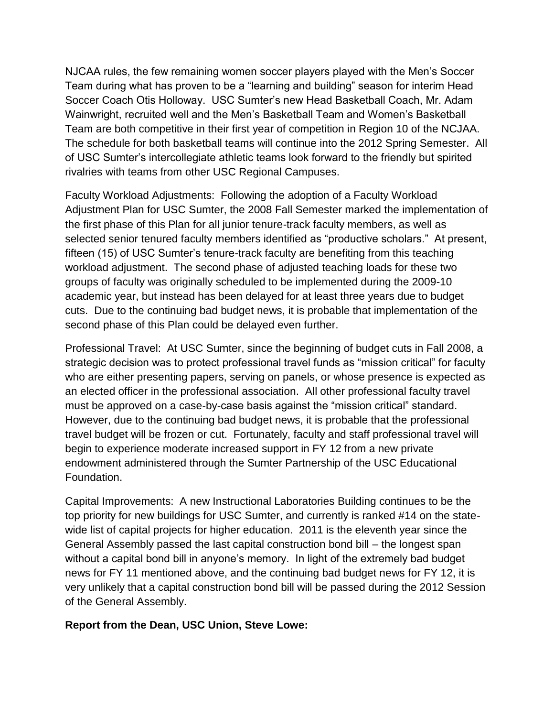NJCAA rules, the few remaining women soccer players played with the Men's Soccer Team during what has proven to be a "learning and building" season for interim Head Soccer Coach Otis Holloway. USC Sumter's new Head Basketball Coach, Mr. Adam Wainwright, recruited well and the Men's Basketball Team and Women's Basketball Team are both competitive in their first year of competition in Region 10 of the NCJAA. The schedule for both basketball teams will continue into the 2012 Spring Semester. All of USC Sumter's intercollegiate athletic teams look forward to the friendly but spirited rivalries with teams from other USC Regional Campuses.

Faculty Workload Adjustments: Following the adoption of a Faculty Workload Adjustment Plan for USC Sumter, the 2008 Fall Semester marked the implementation of the first phase of this Plan for all junior tenure-track faculty members, as well as selected senior tenured faculty members identified as "productive scholars." At present, fifteen (15) of USC Sumter's tenure-track faculty are benefiting from this teaching workload adjustment. The second phase of adjusted teaching loads for these two groups of faculty was originally scheduled to be implemented during the 2009-10 academic year, but instead has been delayed for at least three years due to budget cuts. Due to the continuing bad budget news, it is probable that implementation of the second phase of this Plan could be delayed even further.

Professional Travel: At USC Sumter, since the beginning of budget cuts in Fall 2008, a strategic decision was to protect professional travel funds as "mission critical" for faculty who are either presenting papers, serving on panels, or whose presence is expected as an elected officer in the professional association. All other professional faculty travel must be approved on a case-by-case basis against the "mission critical" standard. However, due to the continuing bad budget news, it is probable that the professional travel budget will be frozen or cut. Fortunately, faculty and staff professional travel will begin to experience moderate increased support in FY 12 from a new private endowment administered through the Sumter Partnership of the USC Educational Foundation.

Capital Improvements: A new Instructional Laboratories Building continues to be the top priority for new buildings for USC Sumter, and currently is ranked #14 on the statewide list of capital projects for higher education. 2011 is the eleventh year since the General Assembly passed the last capital construction bond bill – the longest span without a capital bond bill in anyone's memory. In light of the extremely bad budget news for FY 11 mentioned above, and the continuing bad budget news for FY 12, it is very unlikely that a capital construction bond bill will be passed during the 2012 Session of the General Assembly.

#### **Report from the Dean, USC Union, Steve Lowe:**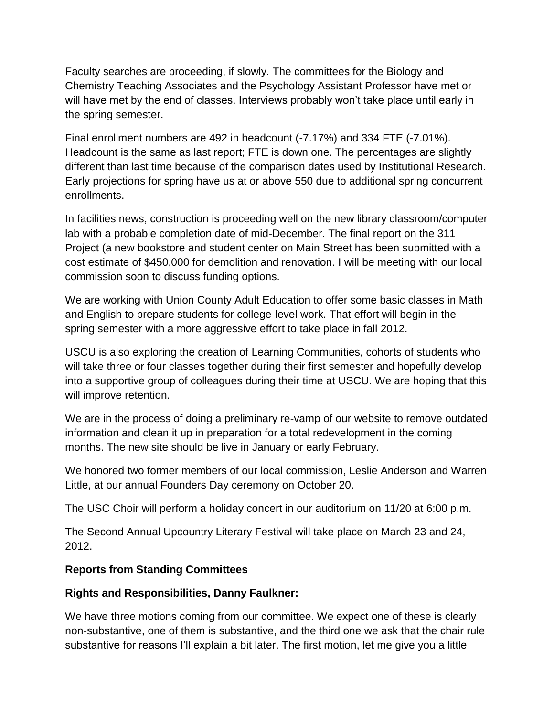Faculty searches are proceeding, if slowly. The committees for the Biology and Chemistry Teaching Associates and the Psychology Assistant Professor have met or will have met by the end of classes. Interviews probably won't take place until early in the spring semester.

Final enrollment numbers are 492 in headcount (-7.17%) and 334 FTE (-7.01%). Headcount is the same as last report; FTE is down one. The percentages are slightly different than last time because of the comparison dates used by Institutional Research. Early projections for spring have us at or above 550 due to additional spring concurrent enrollments.

In facilities news, construction is proceeding well on the new library classroom/computer lab with a probable completion date of mid-December. The final report on the 311 Project (a new bookstore and student center on Main Street has been submitted with a cost estimate of \$450,000 for demolition and renovation. I will be meeting with our local commission soon to discuss funding options.

We are working with Union County Adult Education to offer some basic classes in Math and English to prepare students for college-level work. That effort will begin in the spring semester with a more aggressive effort to take place in fall 2012.

USCU is also exploring the creation of Learning Communities, cohorts of students who will take three or four classes together during their first semester and hopefully develop into a supportive group of colleagues during their time at USCU. We are hoping that this will improve retention.

We are in the process of doing a preliminary re-vamp of our website to remove outdated information and clean it up in preparation for a total redevelopment in the coming months. The new site should be live in January or early February.

We honored two former members of our local commission, Leslie Anderson and Warren Little, at our annual Founders Day ceremony on October 20.

The USC Choir will perform a holiday concert in our auditorium on 11/20 at 6:00 p.m.

The Second Annual Upcountry Literary Festival will take place on March 23 and 24, 2012.

## **Reports from Standing Committees**

### **Rights and Responsibilities, Danny Faulkner:**

We have three motions coming from our committee. We expect one of these is clearly non-substantive, one of them is substantive, and the third one we ask that the chair rule substantive for reasons I'll explain a bit later. The first motion, let me give you a little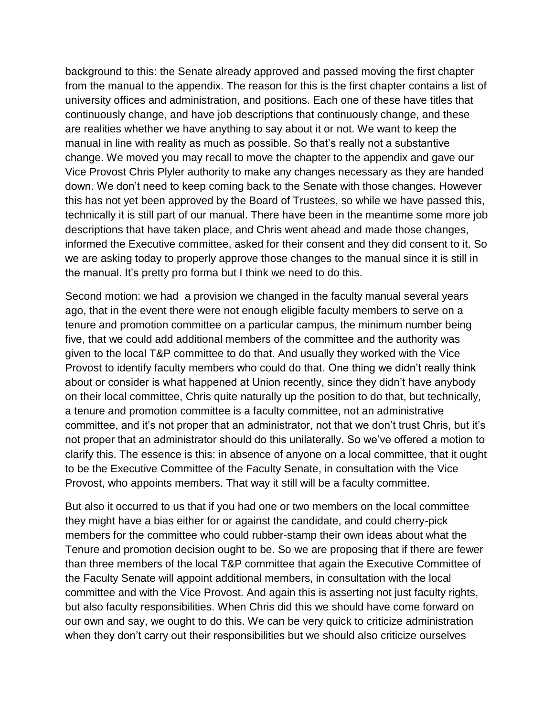background to this: the Senate already approved and passed moving the first chapter from the manual to the appendix. The reason for this is the first chapter contains a list of university offices and administration, and positions. Each one of these have titles that continuously change, and have job descriptions that continuously change, and these are realities whether we have anything to say about it or not. We want to keep the manual in line with reality as much as possible. So that's really not a substantive change. We moved you may recall to move the chapter to the appendix and gave our Vice Provost Chris Plyler authority to make any changes necessary as they are handed down. We don't need to keep coming back to the Senate with those changes. However this has not yet been approved by the Board of Trustees, so while we have passed this, technically it is still part of our manual. There have been in the meantime some more job descriptions that have taken place, and Chris went ahead and made those changes, informed the Executive committee, asked for their consent and they did consent to it. So we are asking today to properly approve those changes to the manual since it is still in the manual. It's pretty pro forma but I think we need to do this.

Second motion: we had a provision we changed in the faculty manual several years ago, that in the event there were not enough eligible faculty members to serve on a tenure and promotion committee on a particular campus, the minimum number being five, that we could add additional members of the committee and the authority was given to the local T&P committee to do that. And usually they worked with the Vice Provost to identify faculty members who could do that. One thing we didn't really think about or consider is what happened at Union recently, since they didn't have anybody on their local committee, Chris quite naturally up the position to do that, but technically, a tenure and promotion committee is a faculty committee, not an administrative committee, and it's not proper that an administrator, not that we don't trust Chris, but it's not proper that an administrator should do this unilaterally. So we've offered a motion to clarify this. The essence is this: in absence of anyone on a local committee, that it ought to be the Executive Committee of the Faculty Senate, in consultation with the Vice Provost, who appoints members. That way it still will be a faculty committee.

But also it occurred to us that if you had one or two members on the local committee they might have a bias either for or against the candidate, and could cherry-pick members for the committee who could rubber-stamp their own ideas about what the Tenure and promotion decision ought to be. So we are proposing that if there are fewer than three members of the local T&P committee that again the Executive Committee of the Faculty Senate will appoint additional members, in consultation with the local committee and with the Vice Provost. And again this is asserting not just faculty rights, but also faculty responsibilities. When Chris did this we should have come forward on our own and say, we ought to do this. We can be very quick to criticize administration when they don't carry out their responsibilities but we should also criticize ourselves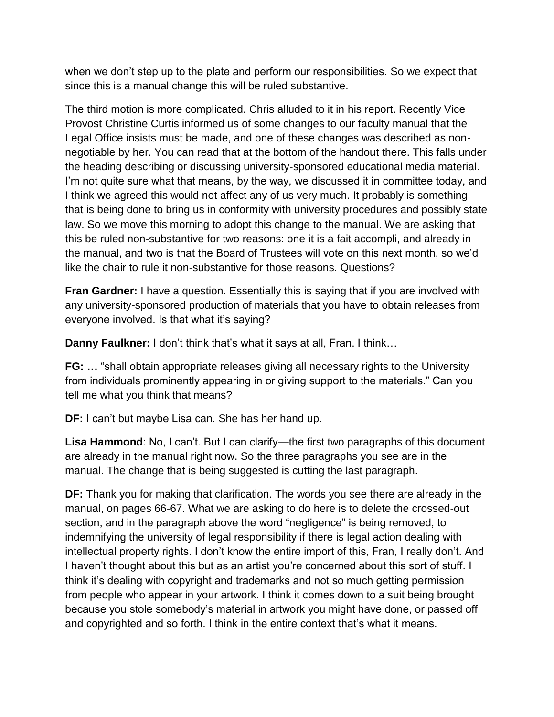when we don't step up to the plate and perform our responsibilities. So we expect that since this is a manual change this will be ruled substantive.

The third motion is more complicated. Chris alluded to it in his report. Recently Vice Provost Christine Curtis informed us of some changes to our faculty manual that the Legal Office insists must be made, and one of these changes was described as nonnegotiable by her. You can read that at the bottom of the handout there. This falls under the heading describing or discussing university-sponsored educational media material. I'm not quite sure what that means, by the way, we discussed it in committee today, and I think we agreed this would not affect any of us very much. It probably is something that is being done to bring us in conformity with university procedures and possibly state law. So we move this morning to adopt this change to the manual. We are asking that this be ruled non-substantive for two reasons: one it is a fait accompli, and already in the manual, and two is that the Board of Trustees will vote on this next month, so we'd like the chair to rule it non-substantive for those reasons. Questions?

**Fran Gardner:** I have a question. Essentially this is saying that if you are involved with any university-sponsored production of materials that you have to obtain releases from everyone involved. Is that what it's saying?

**Danny Faulkner:** I don't think that's what it says at all, Fran. I think…

**FG:** ... "shall obtain appropriate releases giving all necessary rights to the University from individuals prominently appearing in or giving support to the materials." Can you tell me what you think that means?

**DF:** I can't but maybe Lisa can. She has her hand up.

**Lisa Hammond**: No, I can't. But I can clarify—the first two paragraphs of this document are already in the manual right now. So the three paragraphs you see are in the manual. The change that is being suggested is cutting the last paragraph.

**DF:** Thank you for making that clarification. The words you see there are already in the manual, on pages 66-67. What we are asking to do here is to delete the crossed-out section, and in the paragraph above the word "negligence" is being removed, to indemnifying the university of legal responsibility if there is legal action dealing with intellectual property rights. I don't know the entire import of this, Fran, I really don't. And I haven't thought about this but as an artist you're concerned about this sort of stuff. I think it's dealing with copyright and trademarks and not so much getting permission from people who appear in your artwork. I think it comes down to a suit being brought because you stole somebody's material in artwork you might have done, or passed off and copyrighted and so forth. I think in the entire context that's what it means.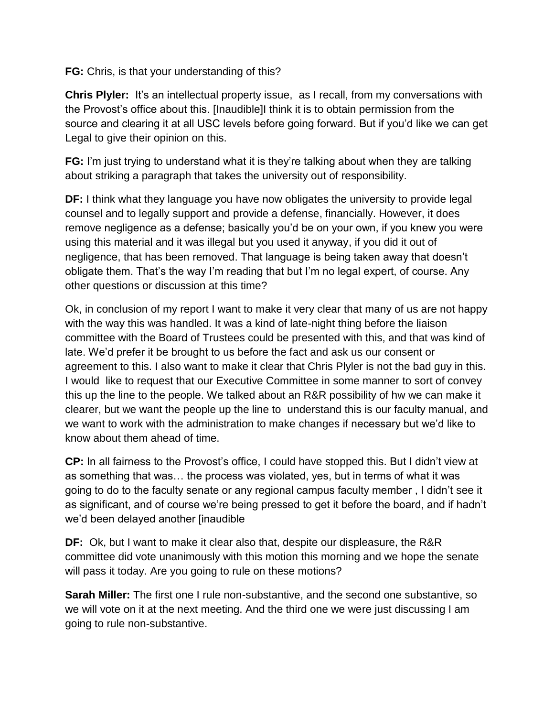**FG:** Chris, is that your understanding of this?

**Chris Plyler:** It's an intellectual property issue, as I recall, from my conversations with the Provost's office about this. [Inaudible]I think it is to obtain permission from the source and clearing it at all USC levels before going forward. But if you'd like we can get Legal to give their opinion on this.

**FG:** I'm just trying to understand what it is they're talking about when they are talking about striking a paragraph that takes the university out of responsibility.

**DF:** I think what they language you have now obligates the university to provide legal counsel and to legally support and provide a defense, financially. However, it does remove negligence as a defense; basically you'd be on your own, if you knew you were using this material and it was illegal but you used it anyway, if you did it out of negligence, that has been removed. That language is being taken away that doesn't obligate them. That's the way I'm reading that but I'm no legal expert, of course. Any other questions or discussion at this time?

Ok, in conclusion of my report I want to make it very clear that many of us are not happy with the way this was handled. It was a kind of late-night thing before the liaison committee with the Board of Trustees could be presented with this, and that was kind of late. We'd prefer it be brought to us before the fact and ask us our consent or agreement to this. I also want to make it clear that Chris Plyler is not the bad guy in this. I would like to request that our Executive Committee in some manner to sort of convey this up the line to the people. We talked about an R&R possibility of hw we can make it clearer, but we want the people up the line to understand this is our faculty manual, and we want to work with the administration to make changes if necessary but we'd like to know about them ahead of time.

**CP:** In all fairness to the Provost's office, I could have stopped this. But I didn't view at as something that was… the process was violated, yes, but in terms of what it was going to do to the faculty senate or any regional campus faculty member , I didn't see it as significant, and of course we're being pressed to get it before the board, and if hadn't we'd been delayed another [inaudible

**DF:** Ok, but I want to make it clear also that, despite our displeasure, the R&R committee did vote unanimously with this motion this morning and we hope the senate will pass it today. Are you going to rule on these motions?

**Sarah Miller:** The first one I rule non-substantive, and the second one substantive, so we will vote on it at the next meeting. And the third one we were just discussing I am going to rule non-substantive.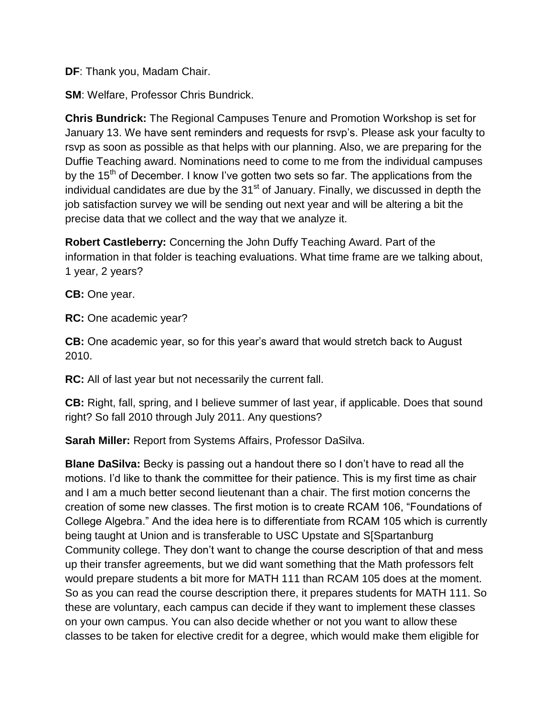**DF**: Thank you, Madam Chair.

**SM: Welfare, Professor Chris Bundrick.** 

**Chris Bundrick:** The Regional Campuses Tenure and Promotion Workshop is set for January 13. We have sent reminders and requests for rsvp's. Please ask your faculty to rsvp as soon as possible as that helps with our planning. Also, we are preparing for the Duffie Teaching award. Nominations need to come to me from the individual campuses by the 15<sup>th</sup> of December. I know I've gotten two sets so far. The applications from the individual candidates are due by the  $31<sup>st</sup>$  of January. Finally, we discussed in depth the job satisfaction survey we will be sending out next year and will be altering a bit the precise data that we collect and the way that we analyze it.

**Robert Castleberry:** Concerning the John Duffy Teaching Award. Part of the information in that folder is teaching evaluations. What time frame are we talking about, 1 year, 2 years?

**CB:** One year.

**RC:** One academic year?

**CB:** One academic year, so for this year's award that would stretch back to August 2010.

**RC:** All of last year but not necessarily the current fall.

**CB:** Right, fall, spring, and I believe summer of last year, if applicable. Does that sound right? So fall 2010 through July 2011. Any questions?

**Sarah Miller:** Report from Systems Affairs, Professor DaSilva.

**Blane DaSilva:** Becky is passing out a handout there so I don't have to read all the motions. I'd like to thank the committee for their patience. This is my first time as chair and I am a much better second lieutenant than a chair. The first motion concerns the creation of some new classes. The first motion is to create RCAM 106, "Foundations of College Algebra." And the idea here is to differentiate from RCAM 105 which is currently being taught at Union and is transferable to USC Upstate and S[Spartanburg Community college. They don't want to change the course description of that and mess up their transfer agreements, but we did want something that the Math professors felt would prepare students a bit more for MATH 111 than RCAM 105 does at the moment. So as you can read the course description there, it prepares students for MATH 111. So these are voluntary, each campus can decide if they want to implement these classes on your own campus. You can also decide whether or not you want to allow these classes to be taken for elective credit for a degree, which would make them eligible for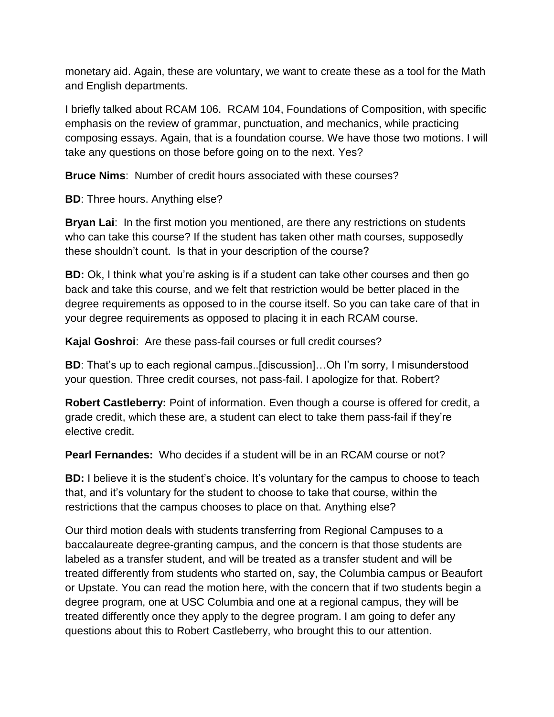monetary aid. Again, these are voluntary, we want to create these as a tool for the Math and English departments.

I briefly talked about RCAM 106. RCAM 104, Foundations of Composition, with specific emphasis on the review of grammar, punctuation, and mechanics, while practicing composing essays. Again, that is a foundation course. We have those two motions. I will take any questions on those before going on to the next. Yes?

**Bruce Nims**: Number of credit hours associated with these courses?

**BD**: Three hours. Anything else?

**Bryan Lai**: In the first motion you mentioned, are there any restrictions on students who can take this course? If the student has taken other math courses, supposedly these shouldn't count. Is that in your description of the course?

**BD:** Ok, I think what you're asking is if a student can take other courses and then go back and take this course, and we felt that restriction would be better placed in the degree requirements as opposed to in the course itself. So you can take care of that in your degree requirements as opposed to placing it in each RCAM course.

**Kajal Goshroi**: Are these pass-fail courses or full credit courses?

**BD**: That's up to each regional campus..[discussion]…Oh I'm sorry, I misunderstood your question. Three credit courses, not pass-fail. I apologize for that. Robert?

**Robert Castleberry:** Point of information. Even though a course is offered for credit, a grade credit, which these are, a student can elect to take them pass-fail if they're elective credit.

**Pearl Fernandes:** Who decides if a student will be in an RCAM course or not?

**BD:** I believe it is the student's choice. It's voluntary for the campus to choose to teach that, and it's voluntary for the student to choose to take that course, within the restrictions that the campus chooses to place on that. Anything else?

Our third motion deals with students transferring from Regional Campuses to a baccalaureate degree-granting campus, and the concern is that those students are labeled as a transfer student, and will be treated as a transfer student and will be treated differently from students who started on, say, the Columbia campus or Beaufort or Upstate. You can read the motion here, with the concern that if two students begin a degree program, one at USC Columbia and one at a regional campus, they will be treated differently once they apply to the degree program. I am going to defer any questions about this to Robert Castleberry, who brought this to our attention.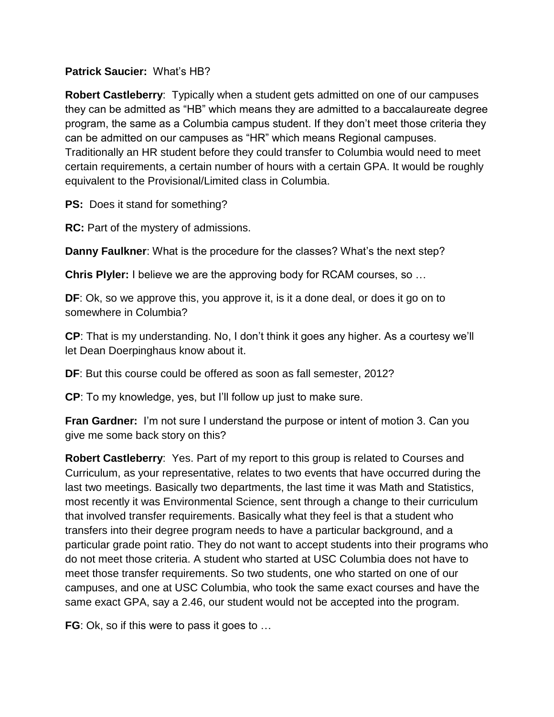### **Patrick Saucier:** What's HB?

**Robert Castleberry**: Typically when a student gets admitted on one of our campuses they can be admitted as "HB" which means they are admitted to a baccalaureate degree program, the same as a Columbia campus student. If they don't meet those criteria they can be admitted on our campuses as "HR" which means Regional campuses. Traditionally an HR student before they could transfer to Columbia would need to meet certain requirements, a certain number of hours with a certain GPA. It would be roughly equivalent to the Provisional/Limited class in Columbia.

**PS:** Does it stand for something?

**RC:** Part of the mystery of admissions.

**Danny Faulkner**: What is the procedure for the classes? What's the next step?

**Chris Plyler:** I believe we are the approving body for RCAM courses, so …

**DF**: Ok, so we approve this, you approve it, is it a done deal, or does it go on to somewhere in Columbia?

**CP**: That is my understanding. No, I don't think it goes any higher. As a courtesy we'll let Dean Doerpinghaus know about it.

**DF**: But this course could be offered as soon as fall semester, 2012?

**CP**: To my knowledge, yes, but I'll follow up just to make sure.

**Fran Gardner:** I'm not sure I understand the purpose or intent of motion 3. Can you give me some back story on this?

**Robert Castleberry**: Yes. Part of my report to this group is related to Courses and Curriculum, as your representative, relates to two events that have occurred during the last two meetings. Basically two departments, the last time it was Math and Statistics, most recently it was Environmental Science, sent through a change to their curriculum that involved transfer requirements. Basically what they feel is that a student who transfers into their degree program needs to have a particular background, and a particular grade point ratio. They do not want to accept students into their programs who do not meet those criteria. A student who started at USC Columbia does not have to meet those transfer requirements. So two students, one who started on one of our campuses, and one at USC Columbia, who took the same exact courses and have the same exact GPA, say a 2.46, our student would not be accepted into the program.

**FG**: Ok, so if this were to pass it goes to …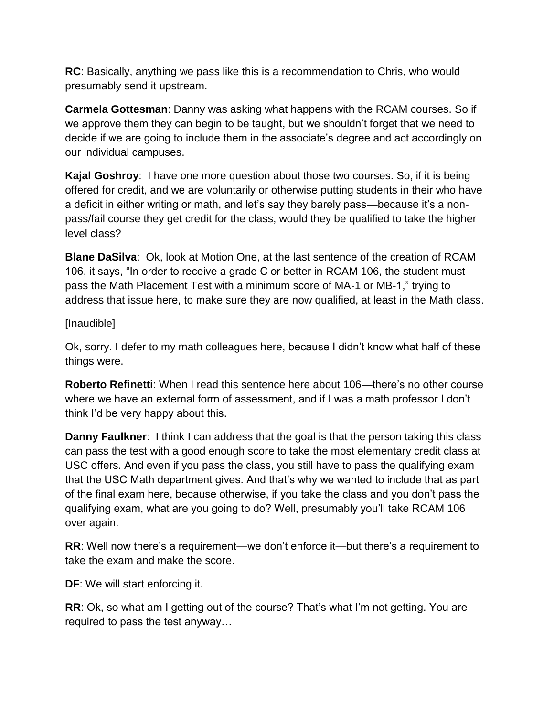**RC**: Basically, anything we pass like this is a recommendation to Chris, who would presumably send it upstream.

**Carmela Gottesman**: Danny was asking what happens with the RCAM courses. So if we approve them they can begin to be taught, but we shouldn't forget that we need to decide if we are going to include them in the associate's degree and act accordingly on our individual campuses.

**Kajal Goshroy**: I have one more question about those two courses. So, if it is being offered for credit, and we are voluntarily or otherwise putting students in their who have a deficit in either writing or math, and let's say they barely pass—because it's a nonpass/fail course they get credit for the class, would they be qualified to take the higher level class?

**Blane DaSilva**: Ok, look at Motion One, at the last sentence of the creation of RCAM 106, it says, "In order to receive a grade C or better in RCAM 106, the student must pass the Math Placement Test with a minimum score of MA-1 or MB-1," trying to address that issue here, to make sure they are now qualified, at least in the Math class.

## [Inaudible]

Ok, sorry. I defer to my math colleagues here, because I didn't know what half of these things were.

**Roberto Refinetti:** When I read this sentence here about 106—there's no other course where we have an external form of assessment, and if I was a math professor I don't think I'd be very happy about this.

**Danny Faulkner**: I think I can address that the goal is that the person taking this class can pass the test with a good enough score to take the most elementary credit class at USC offers. And even if you pass the class, you still have to pass the qualifying exam that the USC Math department gives. And that's why we wanted to include that as part of the final exam here, because otherwise, if you take the class and you don't pass the qualifying exam, what are you going to do? Well, presumably you'll take RCAM 106 over again.

**RR**: Well now there's a requirement—we don't enforce it—but there's a requirement to take the exam and make the score.

**DF**: We will start enforcing it.

**RR**: Ok, so what am I getting out of the course? That's what I'm not getting. You are required to pass the test anyway…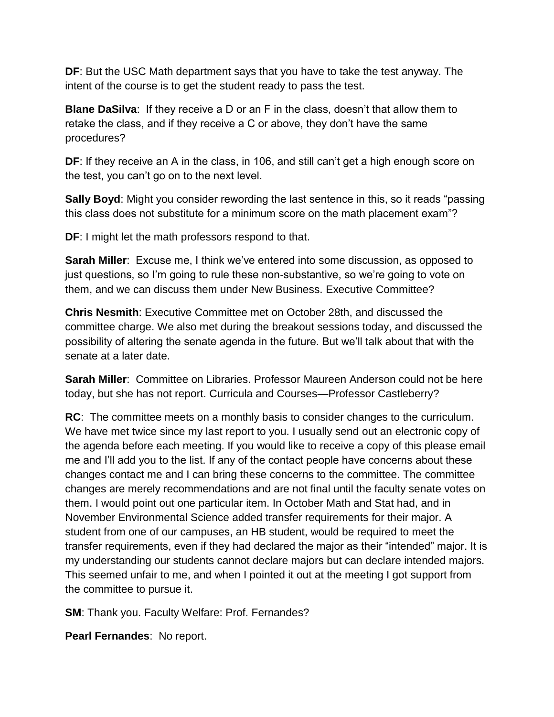**DF**: But the USC Math department says that you have to take the test anyway. The intent of the course is to get the student ready to pass the test.

**Blane DaSilva**: If they receive a D or an F in the class, doesn't that allow them to retake the class, and if they receive a C or above, they don't have the same procedures?

**DF**: If they receive an A in the class, in 106, and still can't get a high enough score on the test, you can't go on to the next level.

**Sally Boyd:** Might you consider rewording the last sentence in this, so it reads "passing this class does not substitute for a minimum score on the math placement exam"?

**DF**: I might let the math professors respond to that.

**Sarah Miller**: Excuse me, I think we've entered into some discussion, as opposed to just questions, so I'm going to rule these non-substantive, so we're going to vote on them, and we can discuss them under New Business. Executive Committee?

**Chris Nesmith**: Executive Committee met on October 28th, and discussed the committee charge. We also met during the breakout sessions today, and discussed the possibility of altering the senate agenda in the future. But we'll talk about that with the senate at a later date.

**Sarah Miller**: Committee on Libraries. Professor Maureen Anderson could not be here today, but she has not report. Curricula and Courses—Professor Castleberry?

**RC**: The committee meets on a monthly basis to consider changes to the curriculum. We have met twice since my last report to you. I usually send out an electronic copy of the agenda before each meeting. If you would like to receive a copy of this please email me and I'll add you to the list. If any of the contact people have concerns about these changes contact me and I can bring these concerns to the committee. The committee changes are merely recommendations and are not final until the faculty senate votes on them. I would point out one particular item. In October Math and Stat had, and in November Environmental Science added transfer requirements for their major. A student from one of our campuses, an HB student, would be required to meet the transfer requirements, even if they had declared the major as their "intended" major. It is my understanding our students cannot declare majors but can declare intended majors. This seemed unfair to me, and when I pointed it out at the meeting I got support from the committee to pursue it.

**SM:** Thank you. Faculty Welfare: Prof. Fernandes?

**Pearl Fernandes**: No report.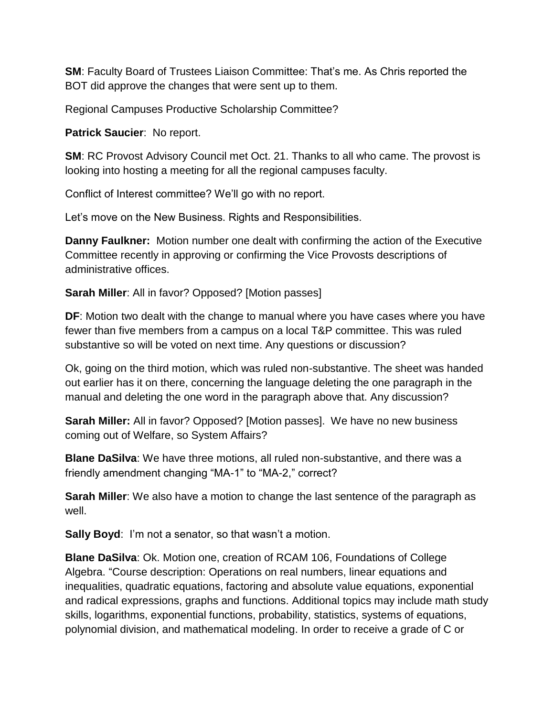**SM**: Faculty Board of Trustees Liaison Committee: That's me. As Chris reported the BOT did approve the changes that were sent up to them.

Regional Campuses Productive Scholarship Committee?

**Patrick Saucier**: No report.

**SM**: RC Provost Advisory Council met Oct. 21. Thanks to all who came. The provost is looking into hosting a meeting for all the regional campuses faculty.

Conflict of Interest committee? We'll go with no report.

Let's move on the New Business. Rights and Responsibilities.

**Danny Faulkner:** Motion number one dealt with confirming the action of the Executive Committee recently in approving or confirming the Vice Provosts descriptions of administrative offices.

**Sarah Miller**: All in favor? Opposed? [Motion passes]

**DF**: Motion two dealt with the change to manual where you have cases where you have fewer than five members from a campus on a local T&P committee. This was ruled substantive so will be voted on next time. Any questions or discussion?

Ok, going on the third motion, which was ruled non-substantive. The sheet was handed out earlier has it on there, concerning the language deleting the one paragraph in the manual and deleting the one word in the paragraph above that. Any discussion?

**Sarah Miller:** All in favor? Opposed? [Motion passes]. We have no new business coming out of Welfare, so System Affairs?

**Blane DaSilva**: We have three motions, all ruled non-substantive, and there was a friendly amendment changing "MA-1" to "MA-2," correct?

**Sarah Miller**: We also have a motion to change the last sentence of the paragraph as well.

**Sally Boyd:** I'm not a senator, so that wasn't a motion.

**Blane DaSilva**: Ok. Motion one, creation of RCAM 106, Foundations of College Algebra. "Course description: Operations on real numbers, linear equations and inequalities, quadratic equations, factoring and absolute value equations, exponential and radical expressions, graphs and functions. Additional topics may include math study skills, logarithms, exponential functions, probability, statistics, systems of equations, polynomial division, and mathematical modeling. In order to receive a grade of C or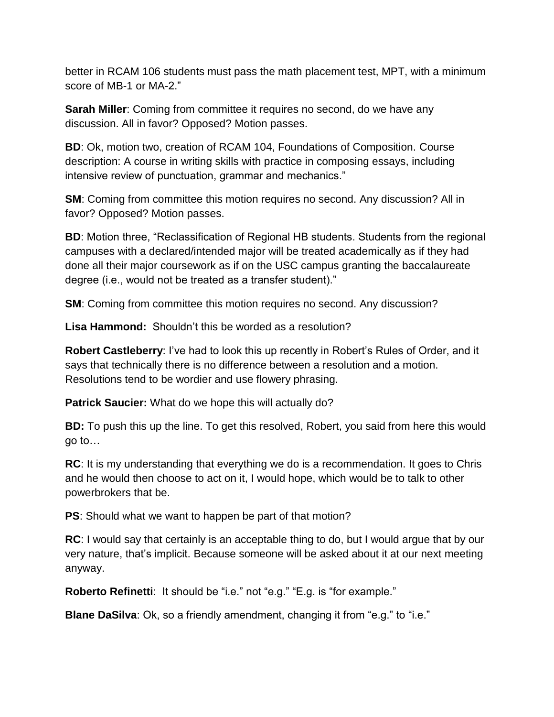better in RCAM 106 students must pass the math placement test, MPT, with a minimum score of MB-1 or MA-2."

**Sarah Miller**: Coming from committee it requires no second, do we have any discussion. All in favor? Opposed? Motion passes.

**BD**: Ok, motion two, creation of RCAM 104, Foundations of Composition. Course description: A course in writing skills with practice in composing essays, including intensive review of punctuation, grammar and mechanics."

**SM:** Coming from committee this motion requires no second. Any discussion? All in favor? Opposed? Motion passes.

**BD**: Motion three, "Reclassification of Regional HB students. Students from the regional campuses with a declared/intended major will be treated academically as if they had done all their major coursework as if on the USC campus granting the baccalaureate degree (i.e., would not be treated as a transfer student)."

**SM**: Coming from committee this motion requires no second. Any discussion?

**Lisa Hammond:** Shouldn't this be worded as a resolution?

**Robert Castleberry**: I've had to look this up recently in Robert's Rules of Order, and it says that technically there is no difference between a resolution and a motion. Resolutions tend to be wordier and use flowery phrasing.

**Patrick Saucier:** What do we hope this will actually do?

**BD:** To push this up the line. To get this resolved, Robert, you said from here this would go to…

**RC**: It is my understanding that everything we do is a recommendation. It goes to Chris and he would then choose to act on it, I would hope, which would be to talk to other powerbrokers that be.

**PS**: Should what we want to happen be part of that motion?

**RC**: I would say that certainly is an acceptable thing to do, but I would argue that by our very nature, that's implicit. Because someone will be asked about it at our next meeting anyway.

**Roberto Refinetti:** It should be "i.e." not "e.g." "E.g. is "for example."

**Blane DaSilva**: Ok, so a friendly amendment, changing it from "e.g." to "i.e."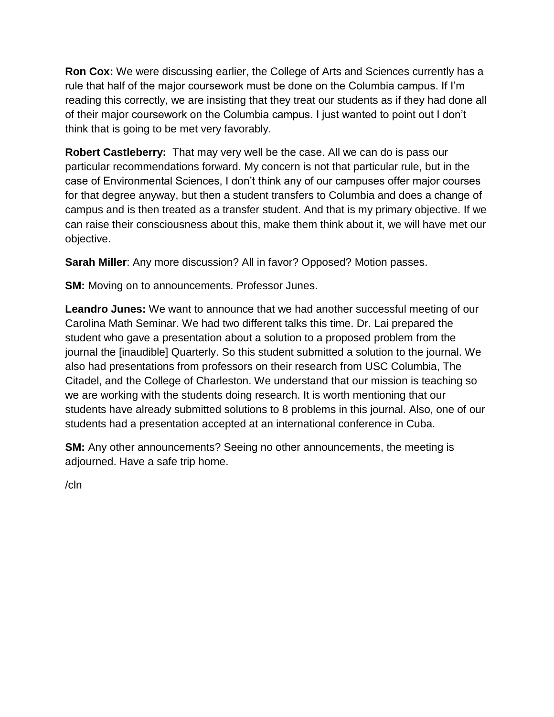**Ron Cox:** We were discussing earlier, the College of Arts and Sciences currently has a rule that half of the major coursework must be done on the Columbia campus. If I'm reading this correctly, we are insisting that they treat our students as if they had done all of their major coursework on the Columbia campus. I just wanted to point out I don't think that is going to be met very favorably.

**Robert Castleberry:** That may very well be the case. All we can do is pass our particular recommendations forward. My concern is not that particular rule, but in the case of Environmental Sciences, I don't think any of our campuses offer major courses for that degree anyway, but then a student transfers to Columbia and does a change of campus and is then treated as a transfer student. And that is my primary objective. If we can raise their consciousness about this, make them think about it, we will have met our objective.

**Sarah Miller**: Any more discussion? All in favor? Opposed? Motion passes.

**SM:** Moving on to announcements. Professor Junes.

**Leandro Junes:** We want to announce that we had another successful meeting of our Carolina Math Seminar. We had two different talks this time. Dr. Lai prepared the student who gave a presentation about a solution to a proposed problem from the journal the [inaudible] Quarterly. So this student submitted a solution to the journal. We also had presentations from professors on their research from USC Columbia, The Citadel, and the College of Charleston. We understand that our mission is teaching so we are working with the students doing research. It is worth mentioning that our students have already submitted solutions to 8 problems in this journal. Also, one of our students had a presentation accepted at an international conference in Cuba.

**SM:** Any other announcements? Seeing no other announcements, the meeting is adjourned. Have a safe trip home.

/cln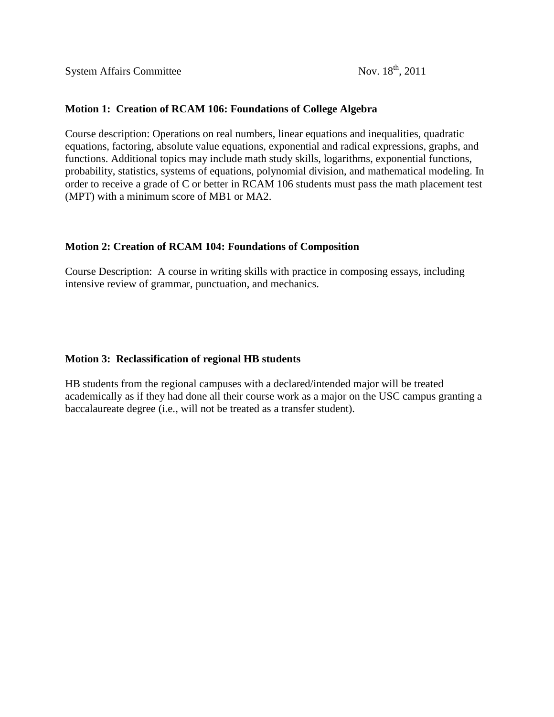**System Affairs Committee** 

#### **Motion 1: Creation of RCAM 106: Foundations of College Algebra**

Course description: Operations on real numbers, linear equations and inequalities, quadratic equations, factoring, absolute value equations, exponential and radical expressions, graphs, and functions. Additional topics may include math study skills, logarithms, exponential functions, probability, statistics, systems of equations, polynomial division, and mathematical modeling. In order to receive a grade of C or better in RCAM 106 students must pass the math placement test (MPT) with a minimum score of MB1 or MA2.

#### **Motion 2: Creation of RCAM 104: Foundations of Composition**

Course Description: A course in writing skills with practice in composing essays, including intensive review of grammar, punctuation, and mechanics.

#### **Motion 3: Reclassification of regional HB students**

HB students from the regional campuses with a declared/intended major will be treated academically as if they had done all their course work as a major on the USC campus granting a baccalaureate degree (i.e., will not be treated as a transfer student).